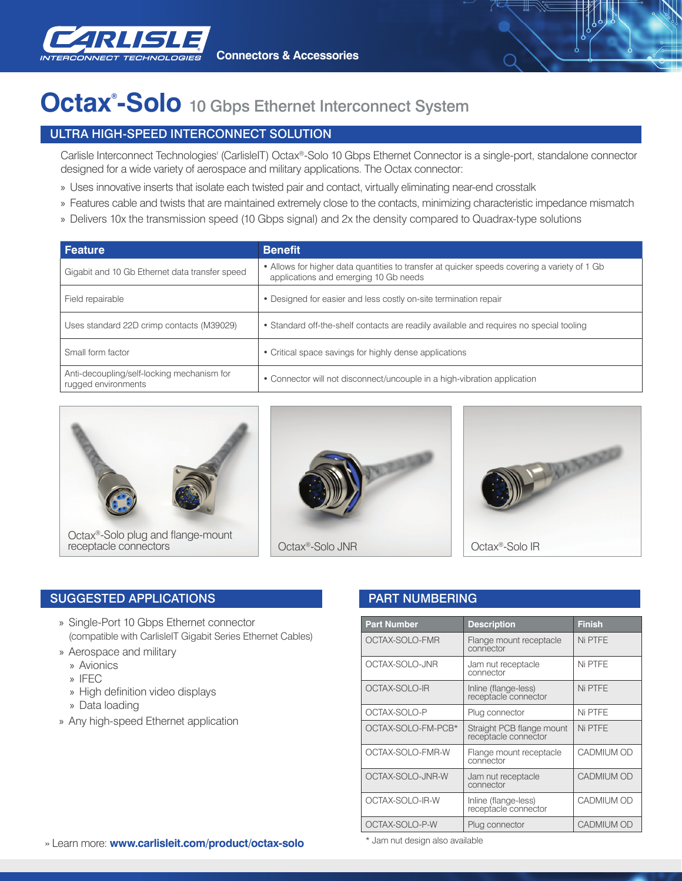

# **Octax® -Solo** 10 Gbps Ethernet Interconnect System

# ULTRA HIGH-SPEED INTERCONNECT SOLUTION

Carlisle Interconnect Technologies' (CarlisleIT) Octax®-Solo 10 Gbps Ethernet Connector is a single-port, standalone connector designed for a wide variety of aerospace and military applications. The Octax connector:

- » Uses innovative inserts that isolate each twisted pair and contact, virtually eliminating near-end crosstalk
- » Features cable and twists that are maintained extremely close to the contacts, minimizing characteristic impedance mismatch
- » Delivers 10x the transmission speed (10 Gbps signal) and 2x the density compared to Quadrax-type solutions

| <b>Feature</b>                                                    | <b>Benefit</b>                                                                                                                        |
|-------------------------------------------------------------------|---------------------------------------------------------------------------------------------------------------------------------------|
| Gigabit and 10 Gb Ethernet data transfer speed                    | • Allows for higher data quantities to transfer at quicker speeds covering a variety of 1 Gb<br>applications and emerging 10 Gb needs |
| Field repairable                                                  | • Designed for easier and less costly on-site termination repair                                                                      |
| Uses standard 22D crimp contacts (M39029)                         | • Standard off-the-shelf contacts are readily available and requires no special tooling                                               |
| Small form factor                                                 | • Critical space savings for highly dense applications                                                                                |
| Anti-decoupling/self-locking mechanism for<br>rugged environments | • Connector will not disconnect/uncouple in a high-vibration application                                                              |







# SUGGESTED APPLICATIONS **Example 20 SUGGESTED APPLICATIONS**

- » Single-Port 10 Gbps Ethernet connector (compatible with CarlisleIT Gigabit Series Ethernet Cables)
- » Aerospace and military
	- » Avionics
	- » IFEC
	- » High definition video displays
	- » Data loading
- » Any high-speed Ethernet application

| <b>Part Number</b> | <b>Description</b>                                | <b>Finish</b>     |
|--------------------|---------------------------------------------------|-------------------|
| OCTAX-SOLO-FMR     | Flange mount receptacle<br>connector              | Ni PTFE           |
| OCTAX-SOLO-JNR     | Jam nut receptacle<br>connector                   | Ni PTFE           |
| OCTAX-SOLO-IR      | Inline (flange-less)<br>receptacle connector      | Ni PTFE           |
| OCTAX-SOLO-P       | Plug connector                                    | Ni PTFE           |
| OCTAX-SOLO-FM-PCB* | Straight PCB flange mount<br>receptacle connector | Ni PTFE           |
| OCTAX-SOLO-FMR-W   | Flange mount receptacle<br>connector              | CADMIUM OD        |
| OCTAX-SOLO-JNR-W   | Jam nut receptacle<br>connector                   | CADMIUM OD        |
| OCTAX-SOLO-IR-W    | Inline (flange-less)<br>receptacle connector      | <b>CADMIUM OD</b> |
| OCTAX-SOLO-P-W     | Plug connector                                    | <b>CADMIUM OD</b> |

\* Jam nut design also available